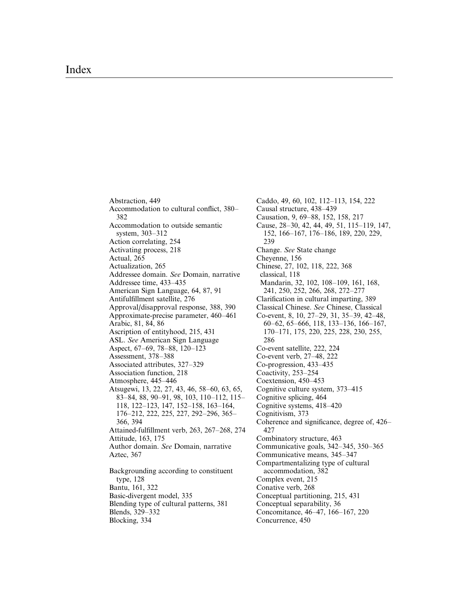Abstraction, 449 Accommodation to cultural conflict, 380-382 Accommodation to outside semantic system, 303-312 Action correlating, 254 Activating process, 218 Actual, 265 Actualization, 265 Addressee domain. See Domain, narrative Addressee time, 433-435 American Sign Language, 64, 87, 91 Antiful®llment satellite, 276 Approval/disapproval response, 388, 390 Approximate-precise parameter, 460-461 Arabic, 81, 84, 86 Ascription of entityhood, 215, 431 ASL. See American Sign Language Aspect, 67-69, 78-88, 120-123 Assessment, 378-388 Associated attributes, 327–329 Association function, 218 Atmosphere, 445-446 Atsugewi, 13, 22, 27, 43, 46, 58–60, 63, 65, 83-84, 88, 90-91, 98, 103, 110-112, 115-118, 122-123, 147, 152-158, 163-164, 176-212, 222, 225, 227, 292-296, 365-366, 394 Attained-fulfillment verb, 263, 267-268, 274 Attitude, 163, 175 Author domain. See Domain, narrative Aztec, 367 Backgrounding according to constituent type, 128 Bantu, 161, 322 Basic-divergent model, 335 Blending type of cultural patterns, 381 Blends, 329-332 Blocking, 334

Caddo, 49, 60, 102, 112-113, 154, 222 Causal structure, 438-439 Causation, 9, 69-88, 152, 158, 217 Cause, 28-30, 42, 44, 49, 51, 115-119, 147, 152, 166-167, 176-186, 189, 220, 229, 239 Change. See State change Cheyenne, 156 Chinese, 27, 102, 118, 222, 368 classical, 118 Mandarin, 32, 102, 108-109, 161, 168, 241, 250, 252, 266, 268, 272-277 Clarification in cultural imparting, 389 Classical Chinese. See Chinese, Classical Co-event, 8, 10, 27 $-29$ , 31, 35 $-39$ , 42 $-48$ ,  $60-62, 65-666, 118, 133-136, 166-167,$ 170±171, 175, 220, 225, 228, 230, 255, 286 Co-event satellite, 222, 224 Co-event verb, 27-48, 222 Co-progression, 433-435 Coactivity, 253-254 Coextension, 450-453 Cognitive culture system, 373-415 Cognitive splicing, 464 Cognitive systems,  $418-420$ Cognitivism, 373 Coherence and significance, degree of, 426-427 Combinatory structure, 463 Communicative goals,  $342-345$ ,  $350-365$ Communicative means, 345-347 Compartmentalizing type of cultural accommodation, 382 Complex event, 215 Conative verb, 268 Conceptual partitioning, 215, 431 Conceptual separability, 36 Concomitance, 46–47, 166–167, 220 Concurrence, 450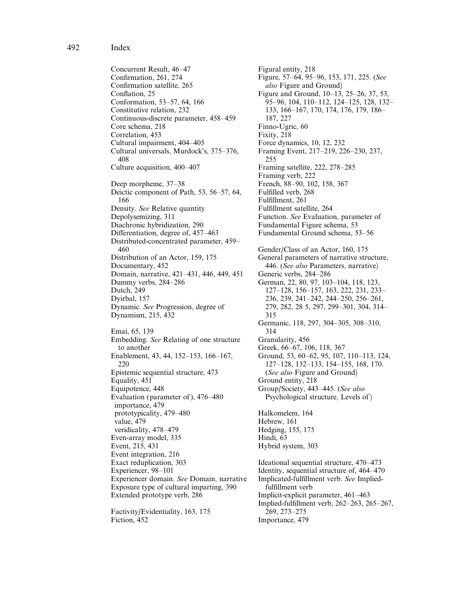492 Index

Concurrent Result, 46-47 Confirmation, 261, 274 Confirmation satellite, 265 Conflation, 25 Conformation, 53-57, 64, 166 Constitutive relation, 232 Continuous-discrete parameter, 458-459 Core schema, 218 Correlation, 453 Cultural impairment, 404-405 Cultural universals, Murdock's, 375-376, 408 Culture acquisition, 400-407 Deep morpheme, 37–38 Deictic component of Path, 53, 56–57, 64, 166 Density. See Relative quantity Depolysemizing, 311 Diachronic hybridization, 290 Differentiation, degree of, 457–463 Distributed-concentrated parameter, 459-460 Distribution of an Actor, 159, 175 Documentary, 452 Domain, narrative, 421-431, 446, 449, 451 Dummy verbs, 284-286 Dutch, 249 Dyirbal, 157 Dynamic. See Progression, degree of Dynamism, 215, 432 Emai, 65, 139 Embedding. See Relating of one structure to another Enablement, 43, 44, 152-153, 166-167, 220 Epistemic sequential structure, 473 Equality, 451 Equipotence, 448 Evaluation (parameter of), 476-480 importance, 479 prototypicality, 479-480 value, 479 veridicality, 478-479 Even-array model, 335 Event, 215, 431 Event integration, 216 Exact reduplication, 303 Experiencer, 98-101 Experiencer domain. See Domain, narrative Exposure type of cultural imparting, 390 Extended prototype verb, 286 Factivity/Evidentiality, 163, 175

Fiction, 452

Figural entity, 218 Figure, 57-64, 95-96, 153, 171, 225. (See also Figure and Ground) Figure and Ground,  $10-13$ ,  $25-26$ , 37, 53, 95-96, 104, 110-112, 124-125, 128, 132-133, 166-167, 170, 174, 176, 179, 186-187, 227 Finno-Ugric, 60 Fixity, 218 Force dynamics, 10, 12, 232 Framing Event, 217-219, 226-230, 237, 255 Framing satellite, 222, 278-285 Framing verb, 222 French, 88±90, 102, 158, 367 Fulfilled verb, 268 Fulfillment, 261 Fulfillment satellite, 264 Function. See Evaluation, parameter of Fundamental Figure schema, 53 Fundamental Ground schema, 53–56 Gender/Class of an Actor, 160, 175 General parameters of narrative structure, 446. (See also Parameters, narrative) Generic verbs, 284-286 German, 22, 80, 97, 103-104, 118, 123, 127-128, 156-157, 163, 222, 231, 233-236, 239, 241-242, 244-250, 256-261, 279, 282, 28 5, 297, 299-301, 304, 314-315 Germanic, 118, 297, 304-305, 308-310, 314 Granularity, 456 Greek, 66-67, 106, 118, 367 Ground, 53, 60–62, 95, 107, 110–113, 124, 127-128, 132-133, 154-155, 168, 170. (See also Figure and Ground) Ground entity, 218 Group/Society, 443-445. (See also Psychological structure, Levels of ) Halkomelem, 164 Hebrew, 161 Hedging, 155, 175 Hindi, 63 Hybrid system, 303 Ideational sequential structure, 470–473 Identity, sequential structure of, 464-470 Implicated-fulfillment verb. See Impliedfulfillment verb Implicit-explicit parameter, 461-463 Implied-fulfillment verb, 262-263, 265-267, 269, 273±275 Importance, 479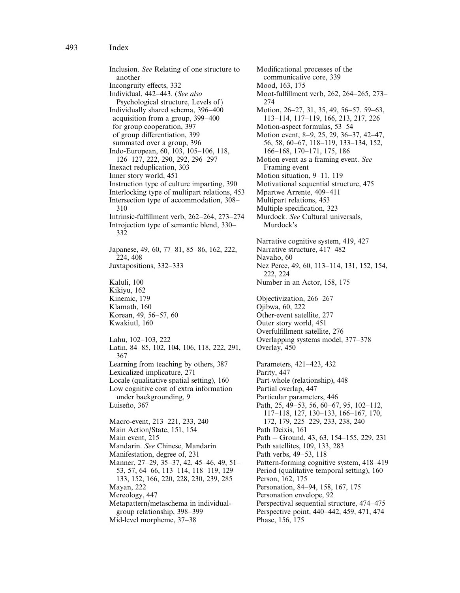Inclusion. See Relating of one structure to another Incongruity effects, 332 Individual, 442-443. (See also Psychological structure, Levels of ) Individually shared schema, 396-400 acquisition from a group, 399-400 for group cooperation, 397 of group differentiation, 399 summated over a group, 396 Indo-European, 60, 103, 105-106, 118, 126-127, 222, 290, 292, 296-297 Inexact reduplication, 303 Inner story world, 451 Instruction type of culture imparting, 390 Interlocking type of multipart relations, 453 Intersection type of accommodation, 308-310 Intrinsic-fulfillment verb, 262-264, 273-274 Introjection type of semantic blend, 330– 332 Japanese, 49, 60, 77-81, 85-86, 162, 222, 224, 408 Juxtapositions, 332-333 Kaluli, 100 Kikiyu, 162 Kinemic, 179 Klamath, 160 Korean, 49, 56-57, 60 Kwakiutl, 160 Lahu, 102-103, 222 Latin, 84-85, 102, 104, 106, 118, 222, 291, 367 Learning from teaching by others, 387 Lexicalized implicature, 271 Locale (qualitative spatial setting), 160 Low cognitive cost of extra information under backgrounding, 9 Luiseño, 367 Macro-event, 213-221, 233, 240 Main Action/State, 151, 154 Main event, 215 Mandarin. See Chinese, Mandarin Manifestation, degree of, 231 Manner, 27-29, 35-37, 42, 45-46, 49, 51-53, 57, 64-66, 113-114, 118-119, 129-133, 152, 166, 220, 228, 230, 239, 285 Mayan, 222 Mereology, 447 Metapattern/metaschema in individualgroup relationship, 398-399 Mid-level morpheme, 37-38

Modificational processes of the communicative core, 339 Mood, 163, 175 Moot-fulfillment verb, 262, 264-265, 273-274 Motion, 26-27, 31, 35, 49, 56-57, 59-63, 113±114, 117±119, 166, 213, 217, 226 Motion-aspect formulas, 53-54 Motion event, 8-9, 25, 29, 36-37, 42-47, 56, 58, 60-67, 118-119, 133-134, 152, 166±168, 170±171, 175, 186 Motion event as a framing event. See Framing event Motion situation, 9-11, 119 Motivational sequential structure, 475 Mpartwe Arrente, 409-411 Multipart relations, 453 Multiple specification, 323 Murdock. See Cultural universals, Murdock's Narrative cognitive system, 419, 427 Narrative structure, 417-482 Navaho, 60 Nez Perce, 49, 60, 113-114, 131, 152, 154, 222, 224 Number in an Actor, 158, 175 Objectivization, 266-267 Ojibwa, 60, 222 Other-event satellite, 277 Outer story world, 451 Overfulfillment satellite, 276 Overlapping systems model, 377–378 Overlay, 450 Parameters, 421-423, 432 Parity, 447 Part-whole (relationship), 448 Partial overlap, 447 Particular parameters, 446 Path, 25, 49-53, 56, 60-67, 95, 102-112, 117-118, 127, 130-133, 166-167, 170, 172, 179, 225-229, 233, 238, 240 Path Deixis, 161 Path  $+$  Ground, 43, 63, 154–155, 229, 231 Path satellites, 109, 133, 283 Path verbs, 49-53, 118 Pattern-forming cognitive system, 418-419 Period (qualitative temporal setting), 160 Person, 162, 175 Personation, 84-94, 158, 167, 175 Personation envelope, 92 Perspectival sequential structure,  $474-475$ Perspective point, 440–442, 459, 471, 474 Phase, 156, 175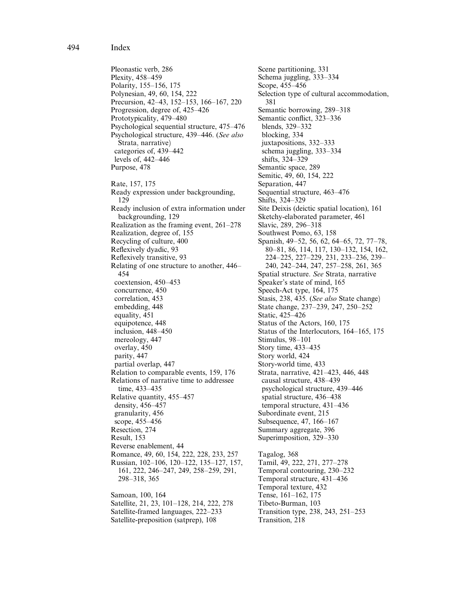Pleonastic verb, 286 Plexity, 458-459 Polarity, 155-156, 175 Polynesian, 49, 60, 154, 222 Precursion, 42-43, 152-153, 166-167, 220 Progression, degree of, 425–426 Prototypicality, 479-480 Psychological sequential structure, 475–476 Psychological structure, 439-446. (See also Strata, narrative) categories of, 439–442 levels of,  $442-446$ Purpose, 478 Rate, 157, 175 Ready expression under backgrounding, 129 Ready inclusion of extra information under backgrounding, 129 Realization as the framing event,  $261-278$ Realization, degree of, 155 Recycling of culture, 400 Reflexively dyadic, 93 Reflexively transitive, 93 Relating of one structure to another, 446-454 coextension, 450-453 concurrence, 450 correlation, 453 embedding, 448 equality, 451 equipotence, 448 inclusion,  $448-450$ mereology, 447 overlay, 450 parity, 447 partial overlap, 447 Relation to comparable events, 159, 176 Relations of narrative time to addressee time, 433-435 Relative quantity, 455-457 density, 456-457 granularity, 456 scope, 455–456 Resection, 274 Result, 153 Reverse enablement, 44 Romance, 49, 60, 154, 222, 228, 233, 257 Russian, 102-106, 120-122, 135-127, 157, 161, 222, 246-247, 249, 258-259, 291, 298±318, 365 Samoan, 100, 164 Satellite, 21, 23, 101-128, 214, 222, 278 Satellite-framed languages, 222–233

Satellite-preposition (satprep), 108

Scene partitioning, 331 Schema juggling, 333-334 Scope, 455-456 Selection type of cultural accommodation, 381 Semantic borrowing, 289-318 Semantic conflict, 323-336 blends,  $329-332$ blocking, 334 juxtapositions, 332-333  $\overline{\text{sehema}}$  juggling, 333–334 shifts, 324-329 Semantic space, 289 Semitic, 49, 60, 154, 222 Separation, 447 Sequential structure, 463-476 Shifts, 324-329 Site Deixis (deictic spatial location), 161 Sketchy-elaborated parameter, 461 Slavic, 289, 296-318 Southwest Pomo, 63, 158 Spanish, 49-52, 56, 62, 64-65, 72, 77-78, 80-81, 86, 114, 117, 130-132, 154, 162, 224-225, 227-229, 231, 233-236, 239-240, 242-244, 247, 257-258, 261, 365 Spatial structure. See Strata, narrative Speaker's state of mind, 165 Speech-Act type, 164, 175 Stasis, 238, 435. (See also State change) State change, 237-239, 247, 250-252 Static, 425-426 Status of the Actors, 160, 175 Status of the Interlocutors, 164-165, 175 Stimulus, 98-101 Story time, 433-435 Story world, 424 Story-world time, 433 Strata, narrative, 421-423, 446, 448 causal structure, 438-439 psychological structure, 439-446 spatial structure, 436-438 temporal structure, 431-436 Subordinate event, 215 Subsequence, 47, 166-167 Summary aggregate, 396 Superimposition, 329-330 Tagalog, 368 Tamil, 49, 222, 271, 277-278 Temporal contouring, 230–232 Temporal structure, 431-436 Temporal texture, 432 Tense, 161-162, 175 Tibeto-Burman, 103 Transition type, 238, 243, 251–253 Transition, 218